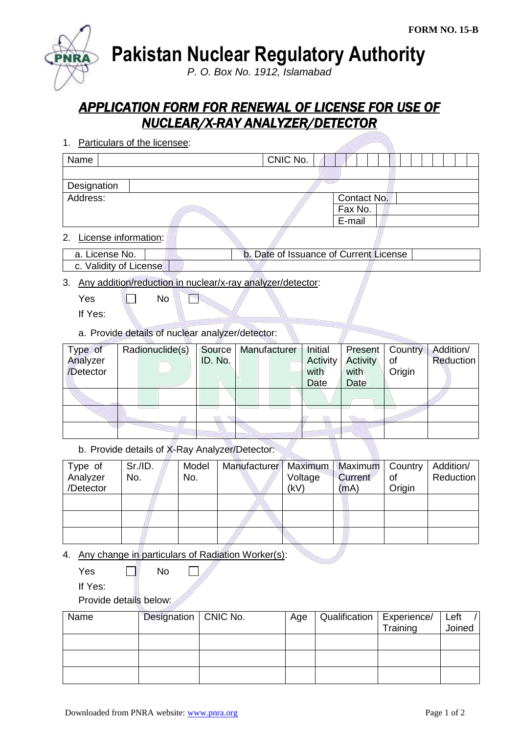**Pakistan Nuclear Regulatory Authority**

*P. O. Box No. 1912, Islamabad*

## *APPLICATION FORM FOR RENEWAL OF LICENSE FOR USE OF NUCLEAR/X-RAY ANALYZER/DETECTOR*

1. Particulars of the licensee:

| Name        |  | CNIC No. |             |  |
|-------------|--|----------|-------------|--|
|             |  |          |             |  |
| Designation |  |          |             |  |
| Address:    |  |          | Contact No. |  |
|             |  |          | Fax No.     |  |
|             |  |          | E-mail      |  |
|             |  |          |             |  |

2. License information:

| License No. | . Date of Issuance of Current License |  |
|-------------|---------------------------------------|--|
|             |                                       |  |

c. Validity of License

3. Any addition/reduction in nuclear/x-ray analyzer/detector:

 $Yes \t No$ P

If Yes:

a. Provide details of nuclear analyzer/detector:

| Type of   | Radionuclide(s) | Source  | Manufacturer | Initial  | Present  | Country | Addition/ |
|-----------|-----------------|---------|--------------|----------|----------|---------|-----------|
| Analyzer  |                 | ID. No. |              | Activity | Activity | οf      | Reduction |
| /Detector |                 |         |              | with     | with     | Origin  |           |
|           |                 |         |              | Date     | Date     |         |           |
|           |                 |         |              |          |          |         |           |
|           |                 |         |              |          |          |         |           |
|           |                 |         |              |          |          |         |           |

b. Provide details of X-Ray Analyzer/Detector:

| Type of   | Sr.I.D. | Model | Manufacturer   Maximum   Maximum   Country |         |                |        | Addition/ |
|-----------|---------|-------|--------------------------------------------|---------|----------------|--------|-----------|
| Analyzer  | No.     | No.   |                                            | Voltage | <b>Current</b> | Οf     | Reduction |
| /Detector |         |       |                                            | (kV)    | (mA)           | Origin |           |
|           |         |       |                                            |         |                |        |           |
|           |         |       |                                            |         |                |        |           |
|           |         |       |                                            |         |                |        |           |
|           |         |       |                                            |         |                |        |           |
|           |         |       |                                            |         |                |        |           |

4. Any change in particulars of Radiation Worker(s):

 $Yes \qquad \qquad \Box$  No  $\mathbb{R}^n$ 

If Yes:

Provide details below:

|  | Age                    |          | Left                        |
|--|------------------------|----------|-----------------------------|
|  |                        | Training | Joined                      |
|  |                        |          |                             |
|  |                        |          |                             |
|  |                        |          |                             |
|  |                        |          |                             |
|  | Designation   CNIC No. |          | Qualification   Experience/ |